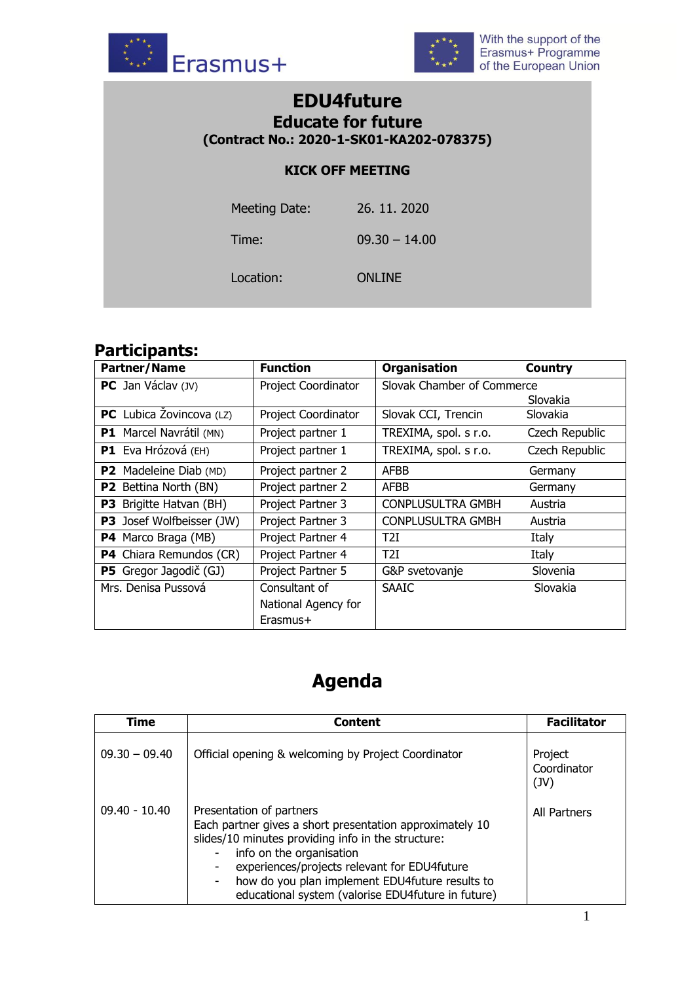



## **EDU4future Educate for future (Contract No.: 2020-1-SK01-KA202-078375)**

## **KICK OFF MEETING**

| Meeting Date: | 26. 11. 2020    |
|---------------|-----------------|
| Time:         | $09.30 - 14.00$ |
| Location:     | <b>ONLINE</b>   |

## **Participants:**

| <b>Partner/Name</b>               | <b>Function</b>     | <b>Organisation</b>        | <b>Country</b> |
|-----------------------------------|---------------------|----------------------------|----------------|
| PC Jan Václav (JV)                | Project Coordinator | Slovak Chamber of Commerce |                |
|                                   |                     |                            | Slovakia       |
| <b>PC</b> Lubica Zovincova $(LZ)$ | Project Coordinator | Slovak CCI, Trencin        | Slovakia       |
| P1 Marcel Navrátil (MN)           | Project partner 1   | TREXIMA, spol. s r.o.      | Czech Republic |
| P1 Eva Hrózová (EH)               | Project partner 1   | TREXIMA, spol. s r.o.      | Czech Republic |
| <b>P2</b> Madeleine Diab (MD)     | Project partner 2   | <b>AFBB</b>                | Germany        |
| <b>P2</b> Bettina North (BN)      | Project partner 2   | <b>AFBB</b>                | Germany        |
| <b>P3</b> Brigitte Hatvan (BH)    | Project Partner 3   | <b>CONPLUSULTRA GMBH</b>   | Austria        |
| <b>P3</b> Josef Wolfbeisser (JW)  | Project Partner 3   | <b>CONPLUSULTRA GMBH</b>   | Austria        |
| P4 Marco Braga (MB)               | Project Partner 4   | T2I                        | Italy          |
| <b>P4</b> Chiara Remundos (CR)    | Project Partner 4   | T2I                        | Italy          |
| <b>P5</b> Gregor Jagodič (GJ)     | Project Partner 5   | G&P svetovanje             | Slovenia       |
| Mrs. Denisa Pussová               | Consultant of       | <b>SAAIC</b>               | Slovakia       |
|                                   | National Agency for |                            |                |
|                                   | Erasmus+            |                            |                |

## **Agenda**

| Time            | <b>Content</b>                                                                                                                                                                                                                                                                                                                       | <b>Facilitator</b>             |
|-----------------|--------------------------------------------------------------------------------------------------------------------------------------------------------------------------------------------------------------------------------------------------------------------------------------------------------------------------------------|--------------------------------|
| $09.30 - 09.40$ | Official opening & welcoming by Project Coordinator                                                                                                                                                                                                                                                                                  | Project<br>Coordinator<br>(JV) |
| $09.40 - 10.40$ | Presentation of partners<br>Each partner gives a short presentation approximately 10<br>slides/10 minutes providing info in the structure:<br>info on the organisation<br>experiences/projects relevant for EDU4future<br>how do you plan implement EDU4future results to<br>-<br>educational system (valorise EDU4future in future) | All Partners                   |